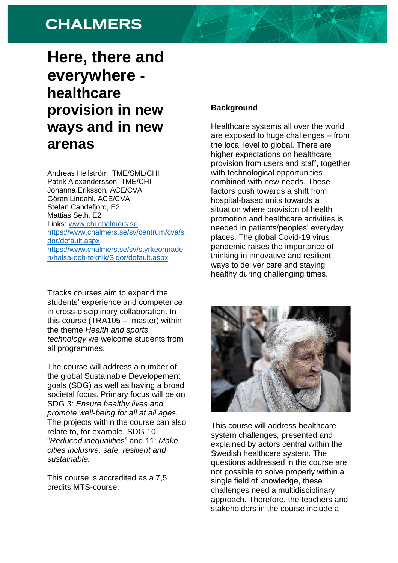# **CHALMERS**

# **Here, there and everywhere healthcare provision in new ways and in new arenas**

Andreas Hellström. TME/SML/CHI Patrik Alexandersson, TME/CHI Johanna Eriksson, ACE/CVA Göran Lindahl, ACE/CVA Stefan Candefjord, E2 Mattias Seth, E2 Links: [www.chi.chalmers.se](http://www.chi.chalmers.se/) [https://www.chalmers.se/sv/centrum/cva/si](https://www.chalmers.se/sv/centrum/cva/sidor/default.aspx) [dor/default.aspx](https://www.chalmers.se/sv/centrum/cva/sidor/default.aspx) [https://www.chalmers.se/sv/styrkeomrade](https://www.chalmers.se/sv/styrkeomraden/halsa-och-teknik/Sidor/default.aspx) [n/halsa-och-teknik/Sidor/default.aspx](https://www.chalmers.se/sv/styrkeomraden/halsa-och-teknik/Sidor/default.aspx)

Tracks courses aim to expand the students' experience and competence in cross-disciplinary collaboration. In this course (TRA105 – master) within the theme *Health and sports technology* we welcome students from all programmes.

The course will address a number of the global Sustainable Developement goals (SDG) as well as having a broad societal focus. Primary focus will be on SDG 3: *Ensure healthy lives and promote well-being for all at all ages.*  The projects within the course can also relate to, for example, SDG 10 "*Reduced inequalitie*s" and 11: *Make cities inclusive, safe, resilient and sustainable.*

This course is accredited as a 7,5 credits MTS-course.

## **Background**

Healthcare systems all over the world are exposed to huge challenges – from the local level to global. There are higher expectations on healthcare provision from users and staff, together with technological opportunities combined with new needs. These factors push towards a shift from hospital-based units towards a situation where provision of health promotion and healthcare activities is needed in patients/peoples' everyday places. The global Covid-19 virus pandemic raises the importance of thinking in innovative and resilient ways to deliver care and staying healthy during challenging times.



This course will address healthcare system challenges, presented and explained by actors central within the Swedish healthcare system. The questions addressed in the course are not possible to solve properly within a single field of knowledge, these challenges need a multidisciplinary approach. Therefore, the teachers and stakeholders in the course include a